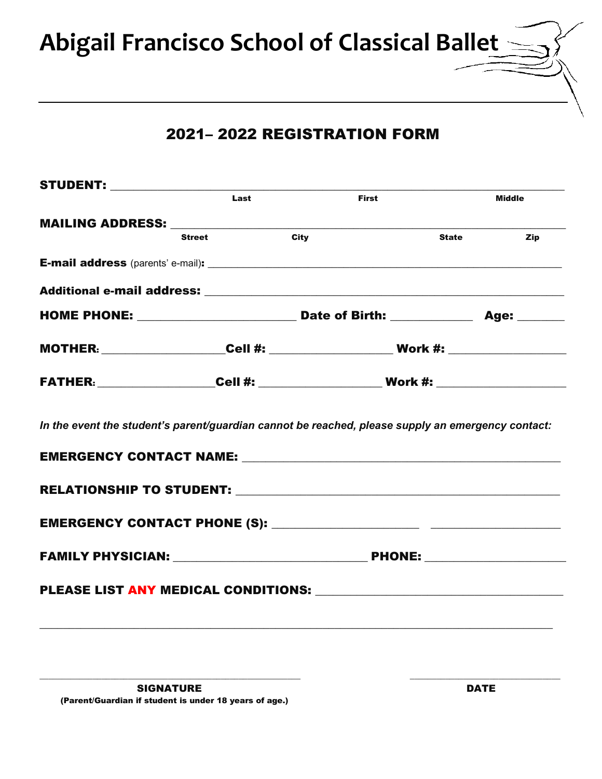**Abigail Francisco School of Classical Ballet**

## 2021– 2022 REGISTRATION FORM

|      | <b>STUDENT:</b> ___________________ |                                                                                                                                                                                                                     |                     |  |
|------|-------------------------------------|---------------------------------------------------------------------------------------------------------------------------------------------------------------------------------------------------------------------|---------------------|--|
| Last |                                     | <b>First</b>                                                                                                                                                                                                        | <b>Middle</b>       |  |
|      |                                     |                                                                                                                                                                                                                     |                     |  |
|      | <b>Street</b>                       | <b>City</b>                                                                                                                                                                                                         | <b>State</b><br>Zip |  |
|      |                                     |                                                                                                                                                                                                                     |                     |  |
|      |                                     |                                                                                                                                                                                                                     |                     |  |
|      |                                     |                                                                                                                                                                                                                     |                     |  |
|      |                                     |                                                                                                                                                                                                                     |                     |  |
|      |                                     |                                                                                                                                                                                                                     |                     |  |
|      |                                     |                                                                                                                                                                                                                     |                     |  |
|      |                                     | In the event the student's parent/guardian cannot be reached, please supply an emergency contact:<br>EMERGENCY CONTACT NAME: University of the contract of the contract name of the contract of the contract of the |                     |  |
|      |                                     |                                                                                                                                                                                                                     |                     |  |
|      |                                     |                                                                                                                                                                                                                     |                     |  |
|      |                                     |                                                                                                                                                                                                                     |                     |  |
|      |                                     |                                                                                                                                                                                                                     |                     |  |

 $\_$  ,  $\_$  ,  $\_$  ,  $\_$  ,  $\_$  ,  $\_$  ,  $\_$  ,  $\_$  ,  $\_$  ,  $\_$  ,  $\_$  ,  $\_$  ,  $\_$  ,  $\_$  ,  $\_$  ,  $\_$  ,  $\_$  ,  $\_$  ,  $\_$  ,  $\_$  ,  $\_$  ,  $\_$  ,  $\_$  ,  $\_$  ,  $\_$  ,  $\_$  ,  $\_$  ,  $\_$  ,  $\_$  ,  $\_$  ,  $\_$  ,  $\_$  ,  $\_$  ,  $\_$  ,  $\_$  ,  $\_$  ,  $\_$  ,